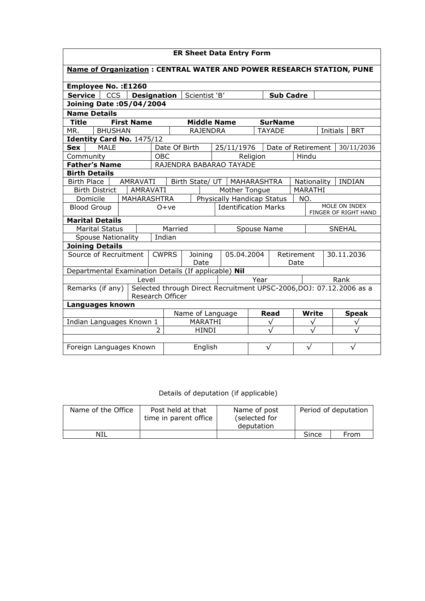| <b>ER Sheet Data Entry Form</b>                                                                                               |                   |                    |                               |                        |           |                         |           |               |                    |                      |               |          |              |
|-------------------------------------------------------------------------------------------------------------------------------|-------------------|--------------------|-------------------------------|------------------------|-----------|-------------------------|-----------|---------------|--------------------|----------------------|---------------|----------|--------------|
| <b>Name of Organization: CENTRAL WATER AND POWER RESEARCH STATION, PUNE</b>                                                   |                   |                    |                               |                        |           |                         |           |               |                    |                      |               |          |              |
| <b>Employee No.: E1260</b>                                                                                                    |                   |                    |                               |                        |           |                         |           |               |                    |                      |               |          |              |
| <b>Service</b><br><b>CCS</b>                                                                                                  |                   | <b>Designation</b> |                               | Scientist 'B'          |           |                         |           |               | <b>Sub Cadre</b>   |                      |               |          |              |
| Joining Date: 05/04/2004                                                                                                      |                   |                    |                               |                        |           |                         |           |               |                    |                      |               |          |              |
| <b>Name Details</b>                                                                                                           |                   |                    |                               |                        |           |                         |           |               |                    |                      |               |          |              |
| <b>Title</b>                                                                                                                  | <b>First Name</b> |                    |                               | <b>Middle Name</b>     |           |                         |           |               | <b>SurName</b>     |                      |               |          |              |
| MR.<br><b>BHUSHAN</b>                                                                                                         |                   |                    |                               | <b>RAJENDRA</b>        |           |                         |           |               | <b>TAYADE</b>      |                      |               | Initials | <b>BRT</b>   |
| Identity Card No. 1475/12                                                                                                     |                   |                    |                               |                        |           |                         |           |               |                    |                      |               |          |              |
| <b>MALE</b><br>Sex                                                                                                            |                   |                    |                               | Date Of Birth          |           | 25/11/1976              |           |               | Date of Retirement |                      |               |          | 30/11/2036   |
| Community                                                                                                                     |                   | <b>OBC</b>         |                               |                        |           |                         | Religion  |               |                    | Hindu                |               |          |              |
| <b>Father's Name</b>                                                                                                          |                   |                    |                               |                        |           | RAJENDRA BABARAO TAYADE |           |               |                    |                      |               |          |              |
| <b>Birth Details</b>                                                                                                          |                   |                    |                               |                        |           |                         |           |               |                    |                      |               |          |              |
| <b>Birth Place</b><br>AMRAVATI<br>Birth State/ UT   MAHARASHTRA<br>Nationality                                                |                   |                    |                               | <b>INDIAN</b>          |           |                         |           |               |                    |                      |               |          |              |
| AMRAVATI<br>MARATHI<br><b>Birth District</b><br>Mother Tongue<br>Domicile<br>MAHARASHTRA<br>Physically Handicap Status<br>NO. |                   |                    |                               |                        |           |                         |           |               |                    |                      |               |          |              |
| <b>Blood Group</b><br>$0+ve$                                                                                                  |                   |                    | <b>Identification Marks</b>   |                        |           |                         |           |               |                    |                      | MOLE ON INDEX |          |              |
|                                                                                                                               |                   |                    |                               |                        |           |                         |           |               |                    | FINGER OF RIGHT HAND |               |          |              |
| <b>Marital Details</b>                                                                                                        |                   |                    |                               |                        |           |                         |           |               |                    |                      |               |          |              |
| <b>Marital Status</b>                                                                                                         |                   |                    |                               | Married<br>Spouse Name |           |                         |           | <b>SNEHAL</b> |                    |                      |               |          |              |
| <b>Spouse Nationality</b>                                                                                                     |                   | Indian             |                               |                        |           |                         |           |               |                    |                      |               |          |              |
| <b>Joining Details</b>                                                                                                        |                   |                    |                               |                        |           |                         |           |               |                    |                      |               |          |              |
| Source of Recruitment                                                                                                         |                   | <b>CWPRS</b>       | 05.04.2004<br>Joining<br>Date |                        |           | Retirement<br>Date      |           |               | 30.11.2036         |                      |               |          |              |
| Departmental Examination Details (If applicable) Nil                                                                          |                   |                    |                               |                        |           |                         |           |               |                    |                      |               |          |              |
|                                                                                                                               | Level             |                    |                               |                        |           |                         |           | Year          |                    |                      |               | Rank     |              |
| Selected through Direct Recruitment UPSC-2006, DOJ: 07.12.2006 as a<br>Remarks (if any)<br>Research Officer                   |                   |                    |                               |                        |           |                         |           |               |                    |                      |               |          |              |
| Languages known                                                                                                               |                   |                    |                               |                        |           |                         |           |               |                    |                      |               |          |              |
|                                                                                                                               |                   |                    |                               | Name of Language       |           |                         |           |               | <b>Read</b>        |                      | <b>Write</b>  |          | <b>Speak</b> |
| Indian Languages Known 1                                                                                                      |                   |                    | MARATHI                       |                        |           |                         |           | $\checkmark$  |                    | ν                    |               |          | √            |
| $\overline{2}$                                                                                                                |                   |                    |                               | HINDI                  |           |                         | $\sqrt{}$ |               |                    | $\sqrt{2}$           |               |          |              |
| Foreign Languages Known                                                                                                       |                   | English            |                               |                        | $\sqrt{}$ |                         |           | √             |                    | $\sqrt{}$            |               |          |              |

## Details of deputation (if applicable)

| Name of the Office | Post held at that<br>time in parent office |  |       | Period of deputation |
|--------------------|--------------------------------------------|--|-------|----------------------|
| NIL                |                                            |  | Since | From                 |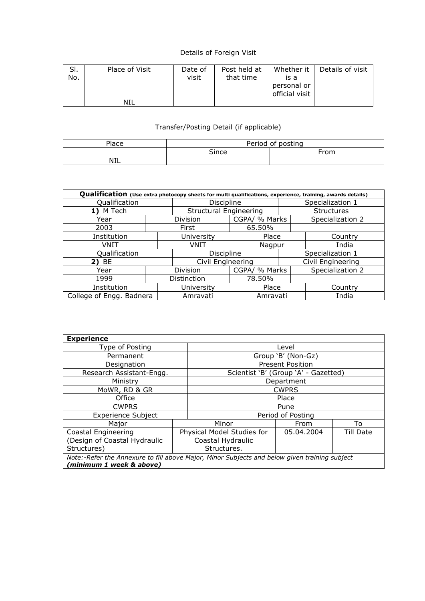## Details of Foreign Visit

| SI.<br>No. | Place of Visit | Date of<br>visit | Post held at<br>that time | Whether it<br>is a | Details of visit |
|------------|----------------|------------------|---------------------------|--------------------|------------------|
|            |                |                  |                           | personal or        |                  |
|            |                |                  |                           | official visit     |                  |
|            | NIL            |                  |                           |                    |                  |

## Transfer/Posting Detail (if applicable)

| Place      | of posting<br>Period |      |  |  |  |  |  |  |
|------------|----------------------|------|--|--|--|--|--|--|
|            | $\cap$ ince          | From |  |  |  |  |  |  |
| <b>NIL</b> |                      |      |  |  |  |  |  |  |

| Qualification (Use extra photocopy sheets for multi qualifications, experience, training, awards details) |            |                               |  |                   |                   |                  |  |  |  |
|-----------------------------------------------------------------------------------------------------------|------------|-------------------------------|--|-------------------|-------------------|------------------|--|--|--|
| Qualification                                                                                             | Discipline |                               |  | Specialization 1  |                   |                  |  |  |  |
| M Tech                                                                                                    |            | <b>Structural Engineering</b> |  |                   | <b>Structures</b> |                  |  |  |  |
| Year                                                                                                      |            | Division                      |  | CGPA/ % Marks     | Specialization 2  |                  |  |  |  |
| 2003                                                                                                      |            | First                         |  | 65.50%            |                   |                  |  |  |  |
| Institution                                                                                               |            | University                    |  | Place             |                   | Country          |  |  |  |
| VNIT                                                                                                      |            | VNIT                          |  | Nagpur            |                   | India            |  |  |  |
| Qualification                                                                                             |            | Discipline                    |  |                   | Specialization 1  |                  |  |  |  |
| 2) BE                                                                                                     |            | Civil Engineering             |  | Civil Engineering |                   |                  |  |  |  |
| Year                                                                                                      |            | Division                      |  | CGPA/ % Marks     |                   | Specialization 2 |  |  |  |
| 1999                                                                                                      |            | Distinction                   |  | 78.50%            |                   |                  |  |  |  |
| Institution                                                                                               |            | University                    |  | Place             |                   | Country          |  |  |  |
| College of Engg. Badnera                                                                                  |            | Amravati                      |  | Amravati          |                   | India            |  |  |  |

| <b>Experience</b>                                                                             |  |                            |                                      |           |  |  |  |  |  |
|-----------------------------------------------------------------------------------------------|--|----------------------------|--------------------------------------|-----------|--|--|--|--|--|
| Type of Posting                                                                               |  | Level                      |                                      |           |  |  |  |  |  |
| Permanent                                                                                     |  |                            | Group 'B' (Non-Gz)                   |           |  |  |  |  |  |
| Designation                                                                                   |  |                            | <b>Present Position</b>              |           |  |  |  |  |  |
| Research Assistant-Engg.                                                                      |  |                            | Scientist 'B' (Group 'A' - Gazetted) |           |  |  |  |  |  |
| Ministry                                                                                      |  |                            | Department                           |           |  |  |  |  |  |
| MoWR, RD & GR                                                                                 |  | <b>CWPRS</b>               |                                      |           |  |  |  |  |  |
| Office                                                                                        |  | Place                      |                                      |           |  |  |  |  |  |
| <b>CWPRS</b>                                                                                  |  | Pune                       |                                      |           |  |  |  |  |  |
| <b>Experience Subject</b>                                                                     |  | Period of Posting          |                                      |           |  |  |  |  |  |
| Maior                                                                                         |  | Minor                      | From                                 | To        |  |  |  |  |  |
| Coastal Engineering                                                                           |  | Physical Model Studies for | 05.04.2004                           | Till Date |  |  |  |  |  |
| (Design of Coastal Hydraulic                                                                  |  | Coastal Hydraulic          |                                      |           |  |  |  |  |  |
| Structures)                                                                                   |  | Structures.                |                                      |           |  |  |  |  |  |
| Note:-Refer the Annexure to fill above Major, Minor Subjects and below given training subject |  |                            |                                      |           |  |  |  |  |  |
| (minimum 1 week & above)                                                                      |  |                            |                                      |           |  |  |  |  |  |